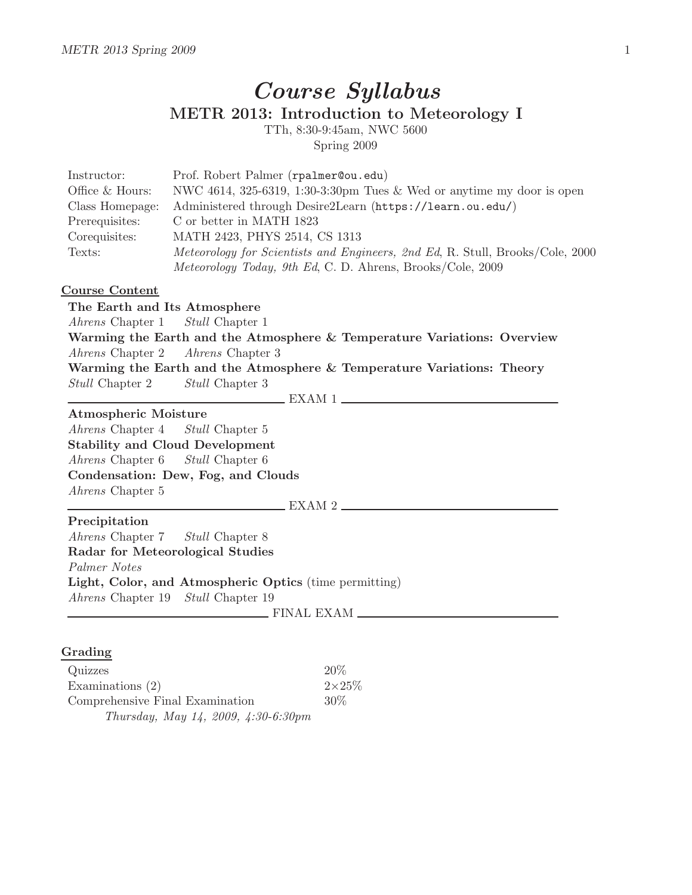## Course Syllabus METR 2013: Introduction to Meteorology I

TTh, 8:30-9:45am, NWC 5600 Spring 2009

| Instructor:     | Prof. Robert Palmer (rpalmer@ou.edu)                                          |
|-----------------|-------------------------------------------------------------------------------|
| Office & Hours: | NWC 4614, 325-6319, 1:30-3:30pm Tues & Wed or anytime my door is open         |
| Class Homepage: | Administered through Desire2Learn (https://learn.ou.edu/)                     |
| Prerequisites:  | C or better in MATH 1823                                                      |
| Corequisites:   | MATH 2423, PHYS 2514, CS 1313                                                 |
| Texts:          | Meteorology for Scientists and Engineers, 2nd Ed, R. Stull, Brooks/Cole, 2000 |
|                 | Meteorology Today, 9th Ed, C. D. Ahrens, Brooks/Cole, 2009                    |
|                 |                                                                               |

## Course Content

The Earth and Its Atmosphere Ahrens Chapter 1 Stull Chapter 1 Warming the Earth and the Atmosphere & Temperature Variations: Overview Ahrens Chapter 2 Ahrens Chapter 3 Warming the Earth and the Atmosphere & Temperature Variations: Theory Stull Chapter 2 Stull Chapter 3 EXAM 1 Atmospheric Moisture Ahrens Chapter 4 Stull Chapter 5 Stability and Cloud Development Ahrens Chapter 6 Stull Chapter 6 Condensation: Dew, Fog, and Clouds Ahrens Chapter 5 EXAM 2 Precipitation Ahrens Chapter 7 Stull Chapter 8 Radar for Meteorological Studies Palmer Notes Light, Color, and Atmospheric Optics (time permitting) Ahrens Chapter 19 Stull Chapter 19 FINAL EXAM

## Grading

| Quizzes                                       | 20%           |
|-----------------------------------------------|---------------|
| Examinations $(2)$                            | $2\times25\%$ |
| Comprehensive Final Examination               | $30\%$        |
| Thursday, May 14, 2009, $4:30-6:30 \text{pm}$ |               |